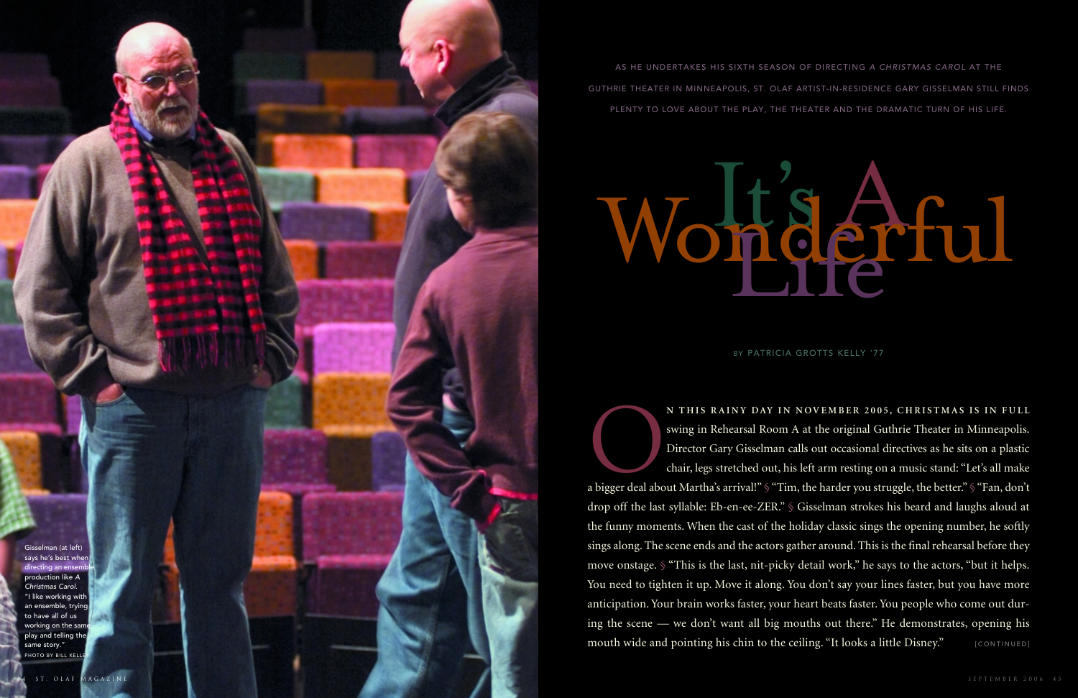

a bigger deal about Martha's arrival!" § "Tim, the harder you struggle, the better." § "Fan, don't drop off the last syllable: Eb-en-ee-ZER." § Gisselman strokes his beard and laughs aloud at the funny moments. When the cast of the holiday classic sings the opening number, he softly sings along. The scene ends and the actors gather around. This is the final rehearsal before they move onstage. § "This is the last, nit-picky detail work," he says to the actors, "but it helps. You need to tighten it up. Move it along. You don't say your lines faster, but you have more anticipation. Your brain works faster, your heart beats faster. You people who come out during the scene — we don't want all big mouths out there." He demonstrates, opening his mouth wide and pointing his chin to the ceiling. "It looks a little Disney." [CONTINUED]

Gisselman (at left) says he's best when irecting an en production like *AChristmas Carol.* "I like working with an ensemble, trying to have all of us working on the sam play and telling the same story." PHOTO BY BILL KELL

AS HE UNDERTAKES HIS SIXTH SEASON OF DIRECTING *A CHRISTMAS CAROL* AT THE GUTHRIE THEATER IN MINNEAPOLIS, ST. OLAF ARTIST-IN-RESIDENCE GARY GISSELMAN STILL FINDS PLENTY TO LOVE ABOUT THE PLAY, THE THEATER AND THE DRAMATIC TURN OF HIS LIFE.

BY PATRICIA GROTTS KELLY '77

N THIS RAINY DAY IN NOVEMBER 2005, CHRISTMAS IS IN FULL<br>swing in Rehearsal Room A at the original Guthrie Theater in Minneapolis.<br>Director Gary Gisselman calls out occasional directives as he sits on a plastic<br>chair, legs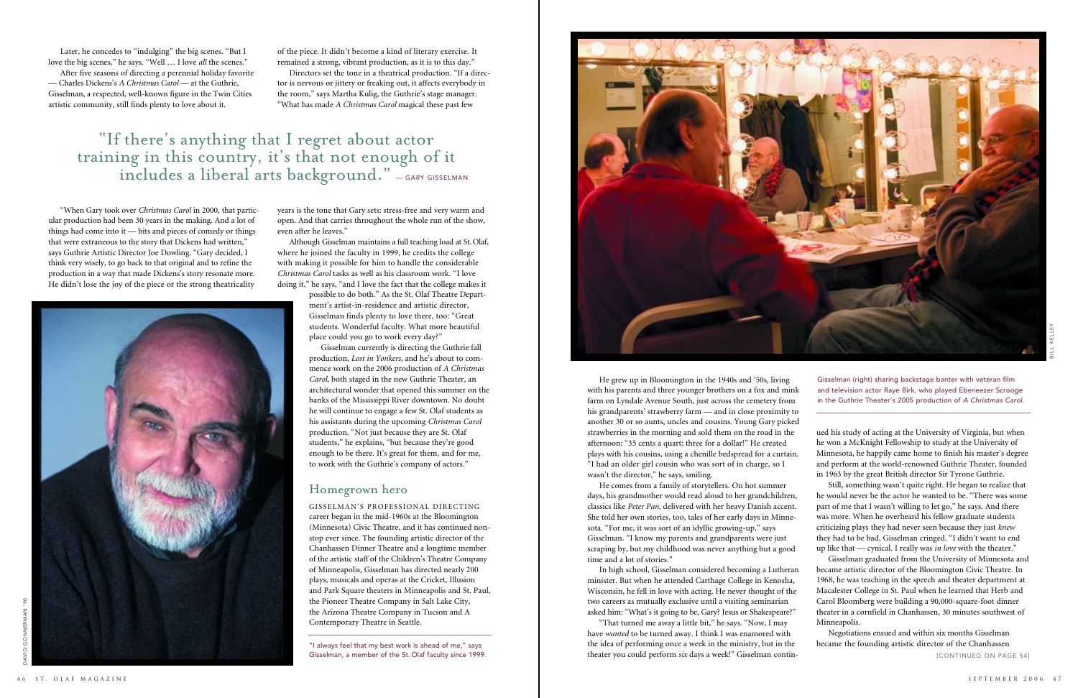He grew up in Bloomington in the 1940s and '50s, living with his parents and three younger brothers on a fox and mink farm on Lyndale Avenue South, just across the cemetery from his grandparents' strawberry farm — and in close proximity to another 30 or so aunts, uncles and cousins. Young Gary picked strawberries in the morning and sold them on the road in the afternoon: "35 cents a quart; three for a dollar!" He created plays with his cousins, using a chenille bedspread for a curtain. "I had an older girl cousin who was sort of in charge, so I wasn't the director," he says, smiling.

He comes from a family of storytellers. On hot summer days, his grandmother would read aloud to her grandchildren, classics like *Peter Pan,* delivered with her heavy Danish accent. She told her own stories, too, tales of her early days in Minnesota. "For me, it was sort of an idyllic growing-up," says Gisselman. "I know my parents and grandparents were just scraping by, but my childhood was never anything but a good time and a lot of stories."

In high school, Gisselman considered becoming a Lutheran minister. But when he attended Carthage College in Kenosha, Wisconsin, he fell in love with acting. He never thought of the two careers as mutually exclusive until a visiting seminarian asked him: "What's it going to be, Gary? Jesus or Shakespeare?"

"That turned me away a little bit," he says. "Now, I may have *wanted* to be turned away. I think I was enamored with the idea of performing once a week in the ministry, but in the theater you could perform *six* days a week!" Gisselman contin-

Later, he concedes to "indulging" the big scenes. "But I love the big scenes," he says. "Well ... I love *all* the scenes."

> ued his study of acting at the University of Virginia, but when he won a McKnight Fellowship to study at the University of Minnesota, he happily came home to finish his master's degree and perform at the world-renowned Guthrie Theater, founded in 1963 by the great British director Sir Tyrone Guthrie.

> Still, something wasn't quite right. He began to realize that he would never be the actor he wanted to be. "There was somepart of me that I wasn't willing to let go," he says. And there was more. When he overheard his fellow graduate students criticizing plays they had never seen because they just *knew* they had to be bad, Gisselman cringed. "I didn't want to end

up like that — cynical. I really was *in love* with the theater." Gisselman graduated from the University of Minnesota and became artistic director of the Bloomington Civic Theatre. In 1968, he was teaching in the speech and theater department at Macalester College in St. Paul when he learned that Herb and Carol Bloomberg were building a 90,000-square-foot dinner theater in a cornfield in Chanhassen, 30 minutes southwest of Minneapolis.

Negotiations ensued and within six months Gisselman became the founding artistic director of the Chanhassen

Gisselman (right) sharing backstage banter with veteran film and television actor Raye Birk, who played Ebeneezer Scrooge in the Guthrie Theater's 2005 production of *A Christmas Carol.*

[CONTINUED ON PAGE 54]

# "If there's anything that I regret about actor training in this country, it's that not enough of it  $\bold{include}}$  includes a liberal arts background."  $_{\text{--}}$  gary gisselman

After five seasons of directing a perennial holiday favorite — Charles Dickens's *A Christmas Carol* — at the Guthrie, Gisselman, a respected, well-known figure in the Twin Cities artistic community, still finds plenty to love about it.

"When Gary took over *Christmas Carol* in 2000, that particular production had been 30 years in the making. And a lot of things had come into it — bits and pieces of comedy or things that were extraneous to the story that Dickens had written," says Guthrie Artistic Director Joe Dowling. "Gary decided, I think very wisely, to go back to that original and to refine the production in a way that made Dickens's story resonate more. He didn't lose the joy of the piece or the strong theatricality



of the piece. It didn't become a kind of literary exercise. It remained a strong, vibrant production, as it is to this day."

Directors set the tone in a theatrical production. "If a director is nervous or jittery or freaking out, it affects everybody in the room," says Martha Kulig, the Guthrie's stage manager. "What has made *A Christmas Carol* magical these past few

years is the tone that Gary sets: stress-free and very warm and open. And that carries throughout the whole run of the show, even after he leaves."

Although Gisselman maintains a full teaching load at St. Olaf, where he joined the faculty in 1999, he credits the college with making it possible for him to handle the considerable *Christmas Carol* tasks as well as his classroom work. "I lovedoing it," he says, "and I love the fact that the college makes it

> possible to do both." As the St. Olaf Theatre Department's artist-in-residence and artistic director, Gisselman finds plenty to love there, too: "Great students. Wonderful faculty. What more beautiful place could you go to work every day?"

Gisselman currently is directing the Guthrie fall production, *Lost in Yonkers,* and he's about to commence work on the 2006 production of *A Christmas Carol*, both staged in the new Guthrie Theater, an architectural wonder that opened this summer on the banks of the Mississippi River downtown. No doubt he will continue to engage a few St. Olaf students as his assistants during the upcoming *Christmas Carol* production. "Not just because they are St. Olaf students," he explains, "but because they're good enough to be there. It's great for them, and for me, to work with the Guthrie's company of actors."

# Homegrown hero

GISSELMAN'S PROFESSIONAL DIRECTINGcareer began in the mid-1960s at the Bloomington (Minnesota) Civic Theatre, and it has continued nonstop ever since. The founding artistic director of the Chanhassen Dinner Theatre and a longtime member of the artistic staff of the Children's Theatre Company of Minneapolis, Gisselman has directed nearly 200 plays, musicals and operas at the Cricket, Illusion and Park Square theaters in Minneapolis and St. Paul, the Pioneer Theatre Company in Salt Lake City, the Arizona Theatre Company in Tucson and A Contemporary Theatre in Seattle.

"I always feel that my best work is ahead of me," says Gisselman, a member of the St. Olaf faculty since 1999.